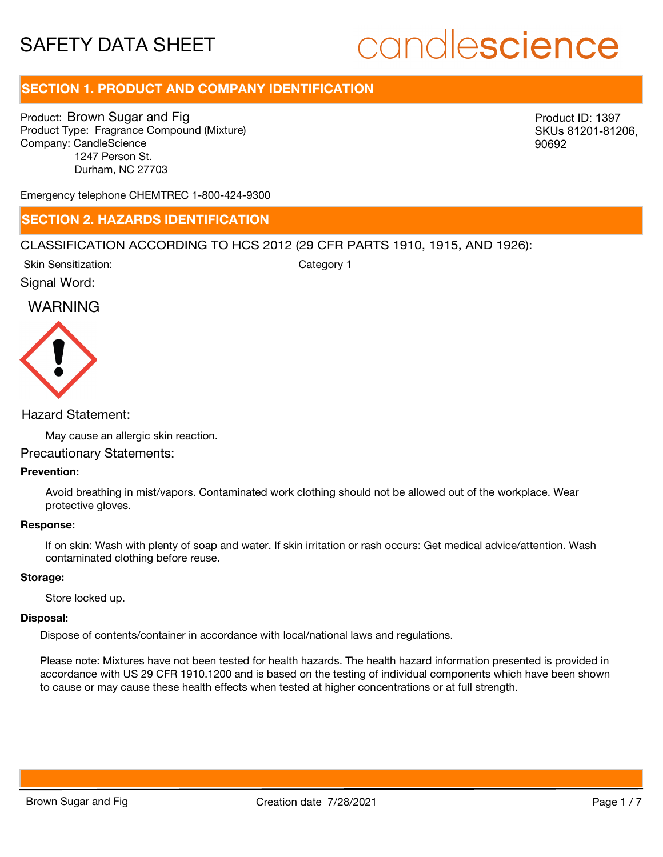# candlescience

# **SECTION 1. PRODUCT AND COMPANY IDENTIFICATION**

Product: Brown Sugar and Fig Product Type: Fragrance Compound (Mixture) Company: CandleScience 1247 Person St. Durham, NC 27703

Product ID: 1397 SKUs 81201-81206, 90692

Emergency telephone CHEMTREC 1-800-424-9300

## **SECTION 2. HAZARDS IDENTIFICATION**

#### CLASSIFICATION ACCORDING TO HCS 2012 (29 CFR PARTS 1910, 1915, AND 1926):

Skin Sensitization:

Category 1

Signal Word:

# WARNING



#### Hazard Statement:

May cause an allergic skin reaction.

#### Precautionary Statements:

#### **Prevention:**

Avoid breathing in mist/vapors. Contaminated work clothing should not be allowed out of the workplace. Wear protective gloves.

#### **Response:**

If on skin: Wash with plenty of soap and water. If skin irritation or rash occurs: Get medical advice/attention. Wash contaminated clothing before reuse.

#### **Storage:**

Store locked up.

#### **Disposal:**

Dispose of contents/container in accordance with local/national laws and regulations.

Please note: Mixtures have not been tested for health hazards. The health hazard information presented is provided in accordance with US 29 CFR 1910.1200 and is based on the testing of individual components which have been shown to cause or may cause these health effects when tested at higher concentrations or at full strength.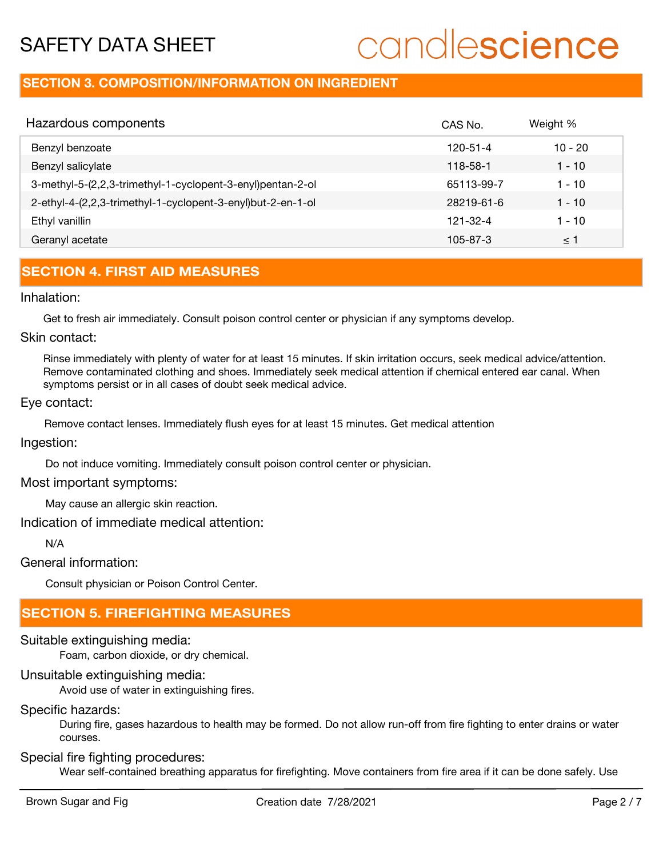# candlescience

# **SECTION 3. COMPOSITION/INFORMATION ON INGREDIENT**

| Hazardous components                                        | CAS No.    | Weight %  |
|-------------------------------------------------------------|------------|-----------|
| Benzyl benzoate                                             | 120-51-4   | $10 - 20$ |
| Benzyl salicylate                                           | 118-58-1   | 1 - 10    |
| 3-methyl-5-(2,2,3-trimethyl-1-cyclopent-3-enyl)pentan-2-ol  | 65113-99-7 | 1 - 10    |
| 2-ethyl-4-(2,2,3-trimethyl-1-cyclopent-3-enyl)but-2-en-1-ol | 28219-61-6 | $1 - 10$  |
| Ethyl vanillin                                              | 121-32-4   | 1 - 10    |
| Geranyl acetate                                             | 105-87-3   | ≤ 1       |

# **SECTION 4. FIRST AID MEASURES**

#### Inhalation:

Get to fresh air immediately. Consult poison control center or physician if any symptoms develop.

#### Skin contact:

Rinse immediately with plenty of water for at least 15 minutes. If skin irritation occurs, seek medical advice/attention. Remove contaminated clothing and shoes. Immediately seek medical attention if chemical entered ear canal. When symptoms persist or in all cases of doubt seek medical advice.

#### Eye contact:

Remove contact lenses. Immediately flush eyes for at least 15 minutes. Get medical attention

#### Ingestion:

Do not induce vomiting. Immediately consult poison control center or physician.

#### Most important symptoms:

May cause an allergic skin reaction.

#### Indication of immediate medical attention:

N/A

General information:

Consult physician or Poison Control Center.

# **SECTION 5. FIREFIGHTING MEASURES**

## Suitable extinguishing media:

Foam, carbon dioxide, or dry chemical.

## Unsuitable extinguishing media:

Avoid use of water in extinguishing fires.

## Specific hazards:

During fire, gases hazardous to health may be formed. Do not allow run-off from fire fighting to enter drains or water courses.

## Special fire fighting procedures:

Wear self-contained breathing apparatus for firefighting. Move containers from fire area if it can be done safely. Use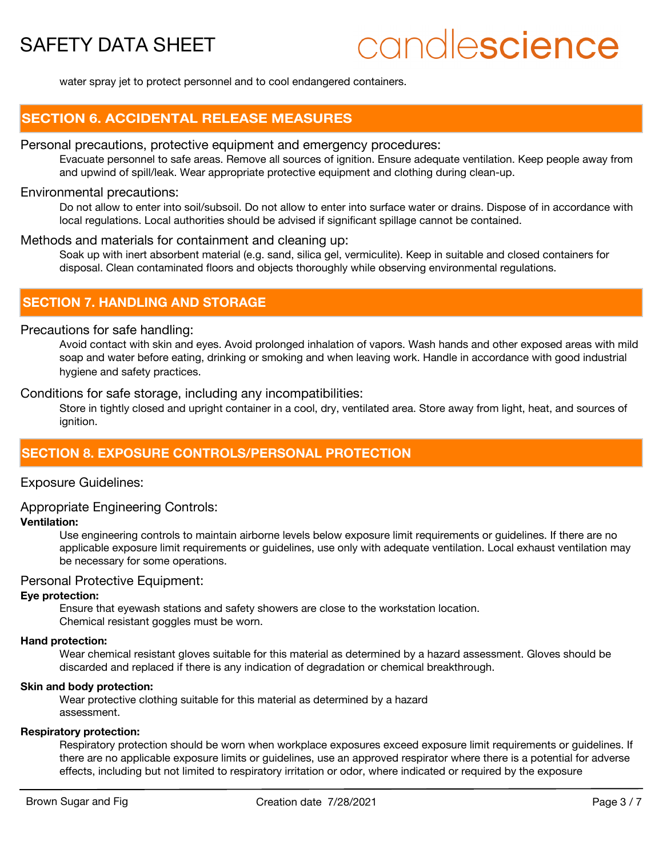# candlescience

water spray jet to protect personnel and to cool endangered containers.

### **SECTION 6. ACCIDENTAL RELEASE MEASURES**

#### Personal precautions, protective equipment and emergency procedures:

Evacuate personnel to safe areas. Remove all sources of ignition. Ensure adequate ventilation. Keep people away from and upwind of spill/leak. Wear appropriate protective equipment and clothing during clean-up.

#### Environmental precautions:

Do not allow to enter into soil/subsoil. Do not allow to enter into surface water or drains. Dispose of in accordance with local regulations. Local authorities should be advised if significant spillage cannot be contained.

#### Methods and materials for containment and cleaning up:

Soak up with inert absorbent material (e.g. sand, silica gel, vermiculite). Keep in suitable and closed containers for disposal. Clean contaminated floors and objects thoroughly while observing environmental regulations.

### **SECTION 7. HANDLING AND STORAGE**

#### Precautions for safe handling:

Avoid contact with skin and eyes. Avoid prolonged inhalation of vapors. Wash hands and other exposed areas with mild soap and water before eating, drinking or smoking and when leaving work. Handle in accordance with good industrial hygiene and safety practices.

Conditions for safe storage, including any incompatibilities:

Store in tightly closed and upright container in a cool, dry, ventilated area. Store away from light, heat, and sources of ignition.

## **SECTION 8. EXPOSURE CONTROLS/PERSONAL PROTECTION**

#### Exposure Guidelines:

#### Appropriate Engineering Controls:

#### **Ventilation:**

Use engineering controls to maintain airborne levels below exposure limit requirements or guidelines. If there are no applicable exposure limit requirements or guidelines, use only with adequate ventilation. Local exhaust ventilation may be necessary for some operations.

#### Personal Protective Equipment:

#### **Eye protection:**

Ensure that eyewash stations and safety showers are close to the workstation location. Chemical resistant goggles must be worn.

#### **Hand protection:**

Wear chemical resistant gloves suitable for this material as determined by a hazard assessment. Gloves should be discarded and replaced if there is any indication of degradation or chemical breakthrough.

#### **Skin and body protection:**

Wear protective clothing suitable for this material as determined by a hazard assessment.

#### **Respiratory protection:**

Respiratory protection should be worn when workplace exposures exceed exposure limit requirements or guidelines. If there are no applicable exposure limits or guidelines, use an approved respirator where there is a potential for adverse effects, including but not limited to respiratory irritation or odor, where indicated or required by the exposure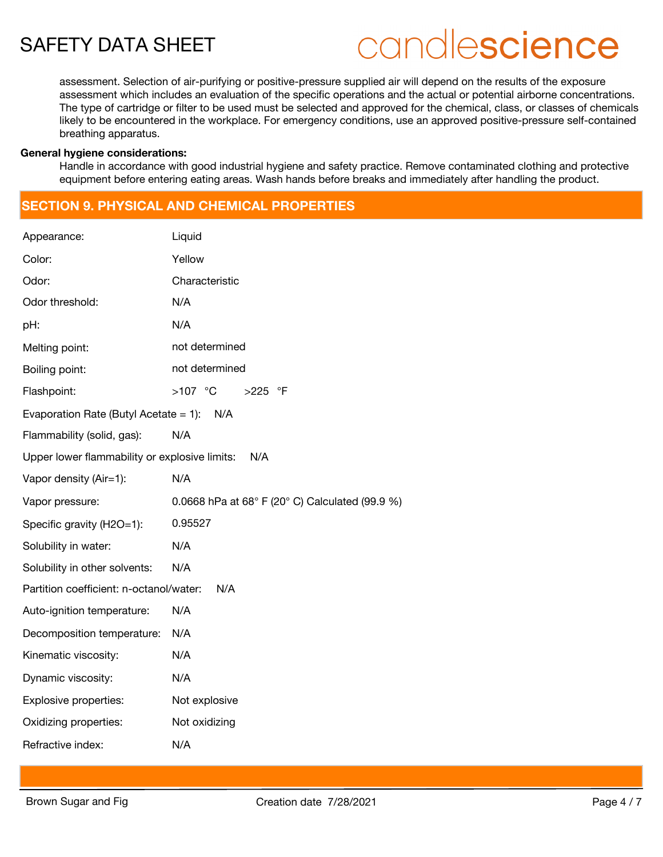# candlescience

assessment. Selection of air-purifying or positive-pressure supplied air will depend on the results of the exposure assessment which includes an evaluation of the specific operations and the actual or potential airborne concentrations. The type of cartridge or filter to be used must be selected and approved for the chemical, class, or classes of chemicals likely to be encountered in the workplace. For emergency conditions, use an approved positive-pressure self-contained breathing apparatus.

#### **General hygiene considerations:**

Handle in accordance with good industrial hygiene and safety practice. Remove contaminated clothing and protective equipment before entering eating areas. Wash hands before breaks and immediately after handling the product.

# **SECTION 9. PHYSICAL AND CHEMICAL PROPERTIES**

| Appearance:                                   | Liquid                                          |  |  |  |
|-----------------------------------------------|-------------------------------------------------|--|--|--|
| Color:                                        | Yellow                                          |  |  |  |
| Odor:                                         | Characteristic                                  |  |  |  |
| Odor threshold:                               | N/A                                             |  |  |  |
| pH:                                           | N/A                                             |  |  |  |
| Melting point:                                | not determined                                  |  |  |  |
| Boiling point:                                | not determined                                  |  |  |  |
| Flashpoint:                                   | $>107$ °C<br>$>225$ °F                          |  |  |  |
| Evaporation Rate (Butyl Acetate = 1):<br>N/A  |                                                 |  |  |  |
| Flammability (solid, gas):                    | N/A                                             |  |  |  |
| Upper lower flammability or explosive limits: | N/A                                             |  |  |  |
| Vapor density (Air=1):                        | N/A                                             |  |  |  |
|                                               |                                                 |  |  |  |
| Vapor pressure:                               | 0.0668 hPa at 68° F (20° C) Calculated (99.9 %) |  |  |  |
| Specific gravity (H2O=1):                     | 0.95527                                         |  |  |  |
| Solubility in water:                          | N/A                                             |  |  |  |
| Solubility in other solvents:                 | N/A                                             |  |  |  |
| Partition coefficient: n-octanol/water:       | N/A                                             |  |  |  |
| Auto-ignition temperature:                    | N/A                                             |  |  |  |
| Decomposition temperature:                    | N/A                                             |  |  |  |
| Kinematic viscosity:                          | N/A                                             |  |  |  |
| Dynamic viscosity:                            | N/A                                             |  |  |  |
| Explosive properties:                         | Not explosive                                   |  |  |  |
| Oxidizing properties:                         | Not oxidizing                                   |  |  |  |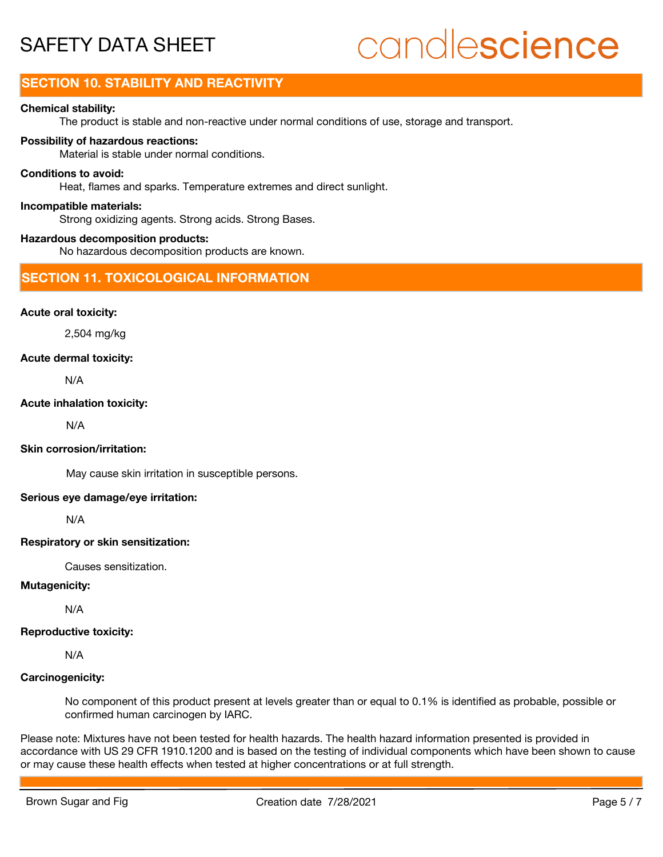# candlescience

# **SECTION 10. STABILITY AND REACTIVITY**

#### **Chemical stability:**

The product is stable and non-reactive under normal conditions of use, storage and transport.

#### **Possibility of hazardous reactions:**

Material is stable under normal conditions.

#### **Conditions to avoid:**

Heat, flames and sparks. Temperature extremes and direct sunlight.

#### **Incompatible materials:**

Strong oxidizing agents. Strong acids. Strong Bases.

#### **Hazardous decomposition products:**

No hazardous decomposition products are known.

### **SECTION 11. TOXICOLOGICAL INFORMATION**

#### **Acute oral toxicity:**

2,504 mg/kg

#### **Acute dermal toxicity:**

N/A

#### **Acute inhalation toxicity:**

N/A

#### **Skin corrosion/irritation:**

May cause skin irritation in susceptible persons.

#### **Serious eye damage/eye irritation:**

N/A

#### **Respiratory or skin sensitization:**

Causes sensitization.

#### **Mutagenicity:**

N/A

### **Reproductive toxicity:**

N/A

### **Carcinogenicity:**

No component of this product present at levels greater than or equal to 0.1% is identified as probable, possible or confirmed human carcinogen by IARC.

Please note: Mixtures have not been tested for health hazards. The health hazard information presented is provided in accordance with US 29 CFR 1910.1200 and is based on the testing of individual components which have been shown to cause or may cause these health effects when tested at higher concentrations or at full strength.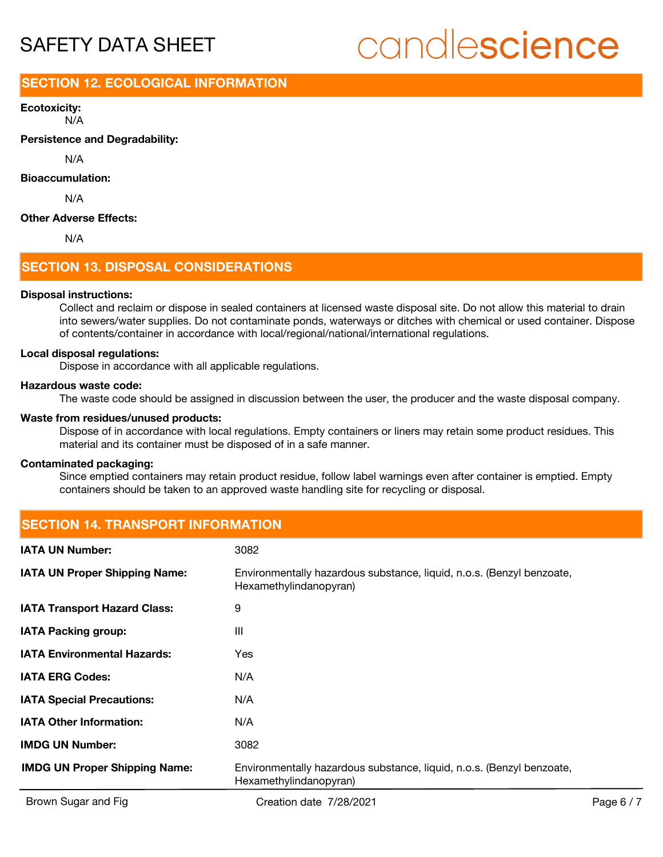# candlescience

## **SECTION 12. ECOLOGICAL INFORMATION**

N/A **Ecotoxicity:**

**Persistence and Degradability:**

N/A

#### **Bioaccumulation:**

N/A

#### **Other Adverse Effects:**

N/A

## **SECTION 13. DISPOSAL CONSIDERATIONS**

#### **Disposal instructions:**

Collect and reclaim or dispose in sealed containers at licensed waste disposal site. Do not allow this material to drain into sewers/water supplies. Do not contaminate ponds, waterways or ditches with chemical or used container. Dispose of contents/container in accordance with local/regional/national/international regulations.

#### **Local disposal regulations:**

Dispose in accordance with all applicable regulations.

#### **Hazardous waste code:**

The waste code should be assigned in discussion between the user, the producer and the waste disposal company.

#### **Waste from residues/unused products:**

Dispose of in accordance with local regulations. Empty containers or liners may retain some product residues. This material and its container must be disposed of in a safe manner.

#### **Contaminated packaging:**

Since emptied containers may retain product residue, follow label warnings even after container is emptied. Empty containers should be taken to an approved waste handling site for recycling or disposal.

## **SECTION 14. TRANSPORT INFORMATION**

| <b>IATA UN Number:</b>               | 3082                                                                                            |
|--------------------------------------|-------------------------------------------------------------------------------------------------|
| <b>IATA UN Proper Shipping Name:</b> | Environmentally hazardous substance, liquid, n.o.s. (Benzyl benzoate,<br>Hexamethylindanopyran) |
| <b>IATA Transport Hazard Class:</b>  | 9                                                                                               |
| <b>IATA Packing group:</b>           | Ш                                                                                               |
| <b>IATA Environmental Hazards:</b>   | Yes                                                                                             |
| <b>IATA ERG Codes:</b>               | N/A                                                                                             |
| <b>IATA Special Precautions:</b>     | N/A                                                                                             |
| <b>IATA Other Information:</b>       | N/A                                                                                             |
| <b>IMDG UN Number:</b>               | 3082                                                                                            |
| <b>IMDG UN Proper Shipping Name:</b> | Environmentally hazardous substance, liquid, n.o.s. (Benzyl benzoate,<br>Hexamethylindanopyran) |